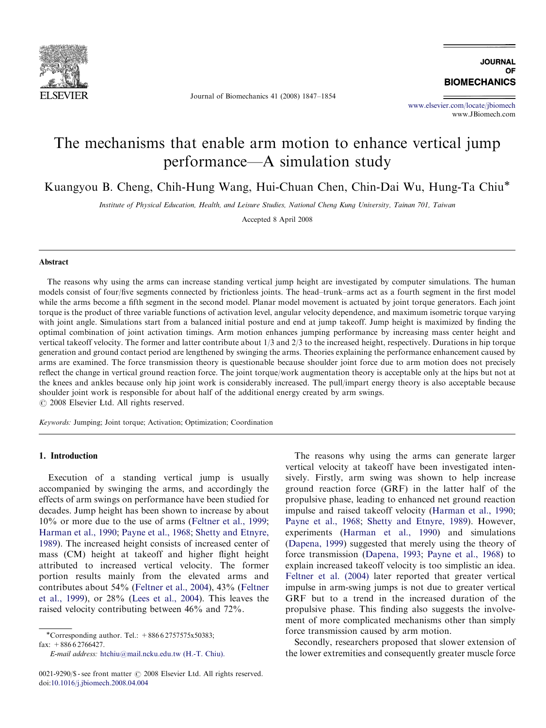

Journal of Biomechanics 41 (2008) 1847–1854

**IQURNAL** OF **BIOMECHANICS** 

<www.elsevier.com/locate/jbiomech> www.JBiomech.com

# The mechanisms that enable arm motion to enhance vertical jump performance—A simulation study

Kuangyou B. Cheng, Chih-Hung Wang, Hui-Chuan Chen, Chin-Dai Wu, Hung-Ta Chiu-

Institute of Physical Education, Health, and Leisure Studies, National Cheng Kung University, Tainan 701, Taiwan

Accepted 8 April 2008

### Abstract

The reasons why using the arms can increase standing vertical jump height are investigated by computer simulations. The human models consist of four/five segments connected by frictionless joints. The head–trunk–arms act as a fourth segment in the first model while the arms become a fifth segment in the second model. Planar model movement is actuated by joint torque generators. Each joint torque is the product of three variable functions of activation level, angular velocity dependence, and maximum isometric torque varying with joint angle. Simulations start from a balanced initial posture and end at jump takeoff. Jump height is maximized by finding the optimal combination of joint activation timings. Arm motion enhances jumping performance by increasing mass center height and vertical takeoff velocity. The former and latter contribute about 1/3 and 2/3 to the increased height, respectively. Durations in hip torque generation and ground contact period are lengthened by swinging the arms. Theories explaining the performance enhancement caused by arms are examined. The force transmission theory is questionable because shoulder joint force due to arm motion does not precisely reflect the change in vertical ground reaction force. The joint torque/work augmentation theory is acceptable only at the hips but not at the knees and ankles because only hip joint work is considerably increased. The pull/impart energy theory is also acceptable because shoulder joint work is responsible for about half of the additional energy created by arm swings.  $C$  2008 Elsevier Ltd. All rights reserved.

Keywords: Jumping; Joint torque; Activation; Optimization; Coordination

#### 1. Introduction

Execution of a standing vertical jump is usually accompanied by swinging the arms, and accordingly the effects of arm swings on performance have been studied for decades. Jump height has been shown to increase by about 10% or more due to the use of arms ([Feltner et al., 1999;](#page--1-0) [Harman et al., 1990](#page--1-0); [Payne et al., 1968](#page--1-0); [Shetty and Etnyre,](#page--1-0) [1989](#page--1-0)). The increased height consists of increased center of mass (CM) height at takeoff and higher flight height attributed to increased vertical velocity. The former portion results mainly from the elevated arms and contributes about 54% [\(Feltner et al., 2004\)](#page--1-0), 43% ([Feltner](#page--1-0) [et al., 1999](#page--1-0)), or 28% ([Lees et al., 2004](#page--1-0)). This leaves the raised velocity contributing between 46% and 72%.

-Corresponding author. Tel.: +886 6 2757575x50383; fax:  $+88662766427$ .

E-mail address: [htchiu@mail.ncku.edu.tw \(H.-T. Chiu\).](mailto:htchiu@mail.ncku.edu.tw)

The reasons why using the arms can generate larger vertical velocity at takeoff have been investigated intensively. Firstly, arm swing was shown to help increase ground reaction force (GRF) in the latter half of the propulsive phase, leading to enhanced net ground reaction impulse and raised takeoff velocity ([Harman et al., 1990;](#page--1-0) [Payne et al., 1968](#page--1-0); [Shetty and Etnyre, 1989](#page--1-0)). However, experiments ([Harman et al., 1990](#page--1-0)) and simulations ([Dapena, 1999\)](#page--1-0) suggested that merely using the theory of force transmission ([Dapena, 1993](#page--1-0); [Payne et al., 1968](#page--1-0)) to explain increased takeoff velocity is too simplistic an idea. [Feltner et al. \(2004\)](#page--1-0) later reported that greater vertical impulse in arm-swing jumps is not due to greater vertical GRF but to a trend in the increased duration of the propulsive phase. This finding also suggests the involvement of more complicated mechanisms other than simply force transmission caused by arm motion.

Secondly, researchers proposed that slower extension of the lower extremities and consequently greater muscle force

 $0021-9290$ /\$ - see front matter  $\odot$  2008 Elsevier Ltd. All rights reserved. doi:[10.1016/j.jbiomech.2008.04.004](dx.doi.org/10.1016/j.jbiomech.2008.04.004)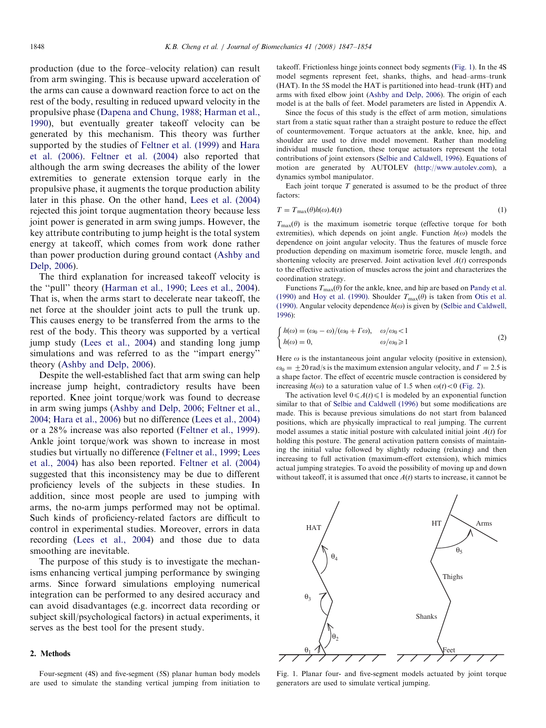production (due to the force–velocity relation) can result from arm swinging. This is because upward acceleration of the arms can cause a downward reaction force to act on the rest of the body, resulting in reduced upward velocity in the propulsive phase [\(Dapena and Chung, 1988](#page--1-0); [Harman et al.,](#page--1-0) [1990\)](#page--1-0), but eventually greater takeoff velocity can be generated by this mechanism. This theory was further supported by the studies of [Feltner et al. \(1999\)](#page--1-0) and [Hara](#page--1-0) [et al. \(2006\)](#page--1-0). [Feltner et al. \(2004\)](#page--1-0) also reported that although the arm swing decreases the ability of the lower extremities to generate extension torque early in the propulsive phase, it augments the torque production ability later in this phase. On the other hand, [Lees et al. \(2004\)](#page--1-0) rejected this joint torque augmentation theory because less joint power is generated in arm swing jumps. However, the key attribute contributing to jump height is the total system energy at takeoff, which comes from work done rather than power production during ground contact [\(Ashby and](#page--1-0) [Delp, 2006](#page--1-0)).

The third explanation for increased takeoff velocity is the ''pull'' theory [\(Harman et al., 1990](#page--1-0); [Lees et al., 2004\)](#page--1-0). That is, when the arms start to decelerate near takeoff, the net force at the shoulder joint acts to pull the trunk up. This causes energy to be transferred from the arms to the rest of the body. This theory was supported by a vertical jump study [\(Lees et al., 2004\)](#page--1-0) and standing long jump simulations and was referred to as the ''impart energy'' theory ([Ashby and Delp, 2006\)](#page--1-0).

Despite the well-established fact that arm swing can help increase jump height, contradictory results have been reported. Knee joint torque/work was found to decrease in arm swing jumps ([Ashby and Delp, 2006](#page--1-0); [Feltner et al.,](#page--1-0) [2004;](#page--1-0) [Hara et al., 2006\)](#page--1-0) but no difference ([Lees et al., 2004\)](#page--1-0) or a 28% increase was also reported [\(Feltner et al., 1999\)](#page--1-0). Ankle joint torque/work was shown to increase in most studies but virtually no difference [\(Feltner et al., 1999](#page--1-0); [Lees](#page--1-0) [et al., 2004\)](#page--1-0) has also been reported. [Feltner et al. \(2004\)](#page--1-0) suggested that this inconsistency may be due to different proficiency levels of the subjects in these studies. In addition, since most people are used to jumping with arms, the no-arm jumps performed may not be optimal. Such kinds of proficiency-related factors are difficult to control in experimental studies. Moreover, errors in data recording ([Lees et al., 2004](#page--1-0)) and those due to data smoothing are inevitable.

The purpose of this study is to investigate the mechanisms enhancing vertical jumping performance by swinging arms. Since forward simulations employing numerical integration can be performed to any desired accuracy and can avoid disadvantages (e.g. incorrect data recording or subject skill/psychological factors) in actual experiments, it serves as the best tool for the present study.

#### 2. Methods

Four-segment (4S) and five-segment (5S) planar human body models are used to simulate the standing vertical jumping from initiation to takeoff. Frictionless hinge joints connect body segments (Fig. 1). In the 4S model segments represent feet, shanks, thighs, and head–arms–trunk (HAT). In the 5S model the HAT is partitioned into head–trunk (HT) and arms with fixed elbow joint ([Ashby and Delp, 2006\)](#page--1-0). The origin of each model is at the balls of feet. Model parameters are listed in Appendix A.

Since the focus of this study is the effect of arm motion, simulations start from a static squat rather than a straight posture to reduce the effect of countermovement. Torque actuators at the ankle, knee, hip, and shoulder are used to drive model movement. Rather than modeling individual muscle function, these torque actuators represent the total contributions of joint extensors ([Selbie and Caldwell, 1996](#page--1-0)). Equations of motion are generated by AUTOLEV (<http://www.autolev.com>), a dynamics symbol manipulator.

Each joint torque  $T$  generated is assumed to be the product of three factors:

$$
T = T_{\text{max}}(\theta)h(\omega)A(t) \tag{1}
$$

 $T_{\text{max}}(\theta)$  is the maximum isometric torque (effective torque for both extremities), which depends on joint angle. Function  $h(\omega)$  models the dependence on joint angular velocity. Thus the features of muscle force production depending on maximum isometric force, muscle length, and shortening velocity are preserved. Joint activation level  $A(t)$  corresponds to the effective activation of muscles across the joint and characterizes the coordination strategy.

Functions  $T_{\text{max}}(\theta)$  for the ankle, knee, and hip are based on [Pandy et al.](#page--1-0) [\(1990\)](#page--1-0) and [Hoy et al. \(1990\)](#page--1-0). Shoulder  $T_{\text{max}}(\theta)$  is taken from [Otis et al.](#page--1-0) [\(1990\).](#page--1-0) Angular velocity dependence  $h(\omega)$  is given by [\(Selbie and Caldwell,](#page--1-0) [1996\)](#page--1-0):

$$
\begin{cases}\nh(\omega) = (\omega_0 - \omega)/(\omega_0 + \Gamma \omega), & \omega/\omega_0 < 1 \\
h(\omega) = 0, & \omega/\omega_0 \ge 1\n\end{cases}
$$
\n(2)

Here  $\omega$  is the instantaneous joint angular velocity (positive in extension),  $\omega_0 = \pm 20$  rad/s is the maximum extension angular velocity, and  $\Gamma = 2.5$  is a shape factor. The effect of eccentric muscle contraction is considered by increasing  $h(\omega)$  to a saturation value of 1.5 when  $\omega(t) < 0$  [\(Fig. 2](#page--1-0)).

The activation level  $0 \leq A(t) \leq 1$  is modeled by an exponential function similar to that of [Selbie and Caldwell \(1996\)](#page--1-0) but some modifications are made. This is because previous simulations do not start from balanced positions, which are physically impractical to real jumping. The current model assumes a static initial posture with calculated initial joint  $A(t)$  for holding this posture. The general activation pattern consists of maintaining the initial value followed by slightly reducing (relaxing) and then increasing to full activation (maximum-effort extension), which mimics actual jumping strategies. To avoid the possibility of moving up and down without takeoff, it is assumed that once  $A(t)$  starts to increase, it cannot be



Fig. 1. Planar four- and five-segment models actuated by joint torque generators are used to simulate vertical jumping.